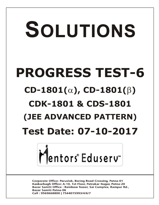# SOLUTIONS **PROGRESS TEST-6**  $CD-1801(\alpha)$ ,  $CD-1801(\beta)$ **CDK-1801 & CDS-1801 (JEE ADVANCED PATTERN) Test Date: 07-10-2017**



**Corporate Office: Paruslok, Boring Road Crossing, Patna-01** Kankarbagh Office: A-10, 1st Floor, Patrakar Nagar, Patna-20 Bazar Samiti Office: Rainbow Tower, Sai Complex, Rampur Rd., **Bazar Samiti Patna-06** Call: 9569668800 | 7544015993/4/6/7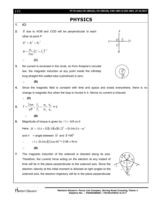| [2] | PT-VI (Adv) CD-1801(A), CD-1801(B), CDK-1801 & CDS-1801_07.10.2017                                                                                                                                                                                                                                                                                                                                                                                        |
|-----|-----------------------------------------------------------------------------------------------------------------------------------------------------------------------------------------------------------------------------------------------------------------------------------------------------------------------------------------------------------------------------------------------------------------------------------------------------------|
|     | <b>PHYSICS</b>                                                                                                                                                                                                                                                                                                                                                                                                                                            |
| 1.  | (C)                                                                                                                                                                                                                                                                                                                                                                                                                                                       |
| 2.  | B due to AOB and COD will be perpendicular to each<br>other at point P                                                                                                                                                                                                                                                                                                                                                                                    |
|     | $C \longrightarrow \begin{array}{c}  I_1  \longrightarrow I_2 \longrightarrow \end{array}$<br>$B^2 = B_1^2 + B_2^2$                                                                                                                                                                                                                                                                                                                                       |
|     | $B = \frac{\mu_0}{2\pi a} \left( I_1^2 + I_2^2 \right)^{1/2}$                                                                                                                                                                                                                                                                                                                                                                                             |
|     | (C)                                                                                                                                                                                                                                                                                                                                                                                                                                                       |
| 3.  | No current is enclosed in the circle, so from Ampere's circuital                                                                                                                                                                                                                                                                                                                                                                                          |
|     | law, the magnetic induction at any point inside the infinitely<br>long straight thin walled tube (cylindrical) is zero.                                                                                                                                                                                                                                                                                                                                   |
|     | (B)                                                                                                                                                                                                                                                                                                                                                                                                                                                       |
| 4.  | Since the magnetic field is constant with time and space and exists everywhere, there is no                                                                                                                                                                                                                                                                                                                                                               |
|     | change in magnetic flux when the loop is moved in it. Hence no current is induced.                                                                                                                                                                                                                                                                                                                                                                        |
|     | $\therefore$ (D)                                                                                                                                                                                                                                                                                                                                                                                                                                          |
| 5.  | $T = \frac{2\pi m}{qB}$ , $\frac{T_{\alpha}}{T_{p}} = \frac{m_{\alpha}}{m_{p}} \cdot \frac{q_{p}}{q_{\alpha}} = 2$                                                                                                                                                                                                                                                                                                                                        |
|     | (B)<br>$\ddot{\cdot}$                                                                                                                                                                                                                                                                                                                                                                                                                                     |
| 6.  | Magnitude of torque is given by $ \vec{\tau}  = MB \sin \theta$                                                                                                                                                                                                                                                                                                                                                                                           |
|     | Here, $M = NiA = (1)(1.0)(\pi)(0.2)^2 = (0.04\pi)A - m^2$                                                                                                                                                                                                                                                                                                                                                                                                 |
|     | = angle between $\vec{M}$ and $\vec{B}$ =90 <sup>0</sup><br>and $\theta$                                                                                                                                                                                                                                                                                                                                                                                  |
|     | $ \vec{\tau}  = (0.04\pi)(2) \sin 90^\circ = 0.08 \pi \text{ N-m}.$<br>∴                                                                                                                                                                                                                                                                                                                                                                                  |
|     | (B)                                                                                                                                                                                                                                                                                                                                                                                                                                                       |
| 7.  | The magnetic induction of the solenoid is directed along its axis.<br>B<br>Therefore, the Lorentz force acting on the electron at any instant of<br>×<br>$\pmb{\times}$<br>$\boldsymbol{\times}$<br>time will lie in the plane perpendicular to the solenoid axis. Since the<br>$\mathcal{V}$<br>electron velocity at the initial moment is directed at right angles to the<br>solenoid axis, the electron trajectory will lie in the plane perpendicular |



I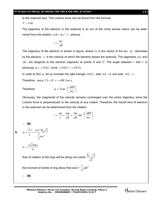$F = evB$ .

The trajectory of the electron in the solenoid is an arc of the circle whose radius can be deter mined from the relation  $evB = mv^2/r$ , whence

$$
r = \frac{mv}{eB}
$$

The trajectory of the electron in shown in figure, where  $O_{\rm l}$  is the centre of the arc  $AC$  described by the electron, *v*' is the velocity at which the electron leaves the solenoid. The segments *OA* and *OC* are tangents to the electron trajectory at points *A* and *C*. The angle between *v* and *v*' is obviously  $\varphi = \angle AO_1C$  since  $\angle OAO_1 = \angle OCO_1$ .

In order to find  $\varphi$ , let us consider the right triangle  $OAO_1$ ; side  $OA = R$  and side  $AO_1 = r$ .

Therefore,  $tan(\varphi / 2) = R / r = eBR / (mv)$ .

Therefore,

$$
\varphi = 2 \tan^{-1} \left( \frac{eBR}{mv} \right)
$$

Obviously, the magnitude of the velocity remains unchanged over the entire trajectory since the Lorentz force is perpendicular to the velocity at any instant. Therefore, the transit time of electron in the solenoid can be determined from the relation

$$
t = \frac{r\varphi}{v} = \frac{m\varphi}{eB} = \frac{2m}{eB} \tan^{-1} \left( \frac{eBR}{mv} \right).
$$

**(B)**

$$
8. \qquad \alpha = \frac{\left|\vec{\tau}\right|}{I} = \frac{i\,\pi\,r^2B_0\sqrt{2}}{\frac{1}{2}mr^2}
$$

$$
\alpha = \frac{2\sqrt{2}\pi B_0 i}{m}
$$

Axis of rotation of the loop will be along unit vector  $\frac{(\hat{j} - \hat{i})}{\sqrt{2}}$ 2  $\hat{j} - \hat{i}$ 

the moment of inertia of ring about that axis =  $\frac{1}{2} mR^2$ 2  $\frac{1}{2}$ *mR* 

**(B)**

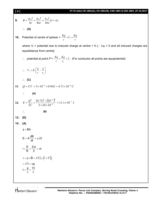#### **[ 4 ] PT-VI (Adv) CD-1801(A), CD-1801(B), CDK-1801 & CDS-1801\_07.10.2017**

$$
[4]
$$

$$
B = \frac{\mu_0 I}{4r} + \frac{\mu_0 I}{4\pi r} = \frac{\mu_0 I}{4\pi r} (1 + \pi)
$$

$$
\therefore \quad (A)
$$

**10.** Potential of centre of sphere = 
$$
\frac{Kq}{r} + V_i = \frac{Kq}{r}
$$

where  $V_i$  = potential due to induced charge at centre = 0 [ $\therefore$   $\Sigma q_i$  = 0 and all induced charges are equidistance from centre]

 $\therefore$  potential at point  $P = \frac{Nq}{r} = \frac{Nq}{r_1} + V_i$ *Kq r*  $\frac{Kq}{Kq} = \frac{Kq}{Kq} +$ 1 (For conductor all points are equipotential)

∴ 
$$
V_i = K \left( \frac{q}{r} - \frac{q}{r_1} \right)
$$
  
\n∴ **(C)**  
\n11.  $Q = CV = 5 \times 10^{-6} \times 0.942 = 4.71 \times 10^{-6} \text{ C}$   
\n∴ **(A)**  
\n12.  $E = \frac{Q^2}{2C} = \frac{(4.71)^2 \times (10^{-6})^2}{2 \times 10 \times 10^{-6}} = 11.1 \times 10^{-7} \text{ J}$   
\n∴ **(B)**  
\n13. **(D)**  
\n14. **(A)**  
\n $\phi = BA$   
\nE = A  $\frac{dB}{dt} = \pi . 2t$ 

$$
i = \frac{E}{R} = \frac{2\pi t}{2} = \pi t
$$
  
\n
$$
\tau = \vec{\mu} \times \vec{B} = \pi^2 t \hat{j} \times (\hat{i} + t^2 \hat{j})
$$
  
\n
$$
= \pi^2 t = \pi g
$$
  
\n
$$
t = \frac{g}{\pi} = \frac{10}{\pi}
$$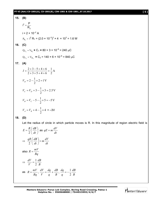#### **PT-VI (Adv) CD-1801(A), CD-1801(B), CDK-1801 & CDS-1801\_07.10.2017 [ 5 ]**

**15.** (**B**)  
\n
$$
i^{2} = \frac{P}{R_{2}}
$$
\n
$$
i = 2 \times 10^{-2} A
$$
\n
$$
P_{R_{1}} = i^{2} R_{1} = (2.0 \times 10^{-2})^{2} \times 4 \times 10^{3} = 1.6 W
$$

$$
16. (C)
$$

$$
Q_{C_1} = V_{R_1} \times C_1 = 80 \times 3 \times 10^{-6} = 240 \mu C
$$
  
 $Q_{C_2} = V_{R_2} \times C_2 = 140 \times 6 \times 10^{-6} = 840 \mu C$ 

$$
17. (A)
$$

$$
I = \frac{2+3-5+4+6}{2+3+5+4+6} = \frac{1}{2}A
$$
  
\n
$$
V_D = 2 - \frac{1}{2} \times 2 = 1 \text{ V}
$$
  
\n
$$
V_C = V_D + 3 - \frac{1}{2} \times 3 = 2.5 \text{ V}
$$
  
\n
$$
V_B = V_C - 5 - \frac{1}{2} \times 5 = -5 \text{ V}
$$
  
\n
$$
V_A = V_B + 4 - \frac{1}{2} \times 4 = -3 \text{ V}
$$

#### **18. (D)**

Let the radius of circle in which particle moves is R. In this magnitude of region electric field is

$$
E = \frac{R}{2} \left( \frac{dB}{dt} \right) \text{ as } qE = m \frac{dV}{dt}
$$
  
\n
$$
\Rightarrow \frac{qR}{2} \left( \frac{dB}{dt} \right) = m \frac{dV}{dt}
$$
  
\nalso  $R = \frac{mV}{Bq}$   
\n
$$
\Rightarrow \frac{dV}{V} = \frac{1}{2} \frac{dB}{B}
$$
  
\nas  $R = \frac{mV}{Bq}, \frac{dV}{V} = \frac{dq}{q} + \frac{dB}{B}, \frac{dq}{q} = -\frac{1}{2} \frac{dB}{B}$ 

**Mentors Eduserv: Parus Lok Complex, Boring Road Crossing, Patna-1 Helpline No. : 9569668800 | 7544015993/4/6/7**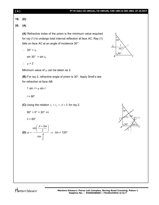| [6] | PT-VI (Adv) CD-1801(A), CD-1801(B), CDK-1801 & CDS-1801_07.10.2017                                                                                                                                                                                                         |                                               |
|-----|----------------------------------------------------------------------------------------------------------------------------------------------------------------------------------------------------------------------------------------------------------------------------|-----------------------------------------------|
| 19. | (D)                                                                                                                                                                                                                                                                        |                                               |
| 20. | (A)                                                                                                                                                                                                                                                                        |                                               |
|     | (A) Refractive index of the prism is the minimum value required<br>for ray (1) to undergo total internal reflection at face AC. Ray (1)<br>falls on face AC at an angle of incidence 30°<br>$\therefore$ 30° > $i_c$<br>$sin 30^\circ$ > $sin i_c$<br>$\therefore \mu > 2$ | 30'<br>$30^\circ$<br>$90^\circ$<br>C<br>B     |
|     | Minimum value of $\mu$ can be taken as 2.                                                                                                                                                                                                                                  |                                               |
|     | (B) For ray 2, refractive angle of prism is 30°. Apply Snell's law<br>for refraction at face AB.                                                                                                                                                                           |                                               |
|     | 1 sin $i = \mu$ sin r                                                                                                                                                                                                                                                      |                                               |
|     | $i = 90^\circ$                                                                                                                                                                                                                                                             |                                               |
|     | (C) Using the relation $i_1 + i_2 = A + \delta$ for ray 2.<br>$90^{\circ} + 0^{\circ} = 30^{\circ} + \delta$<br>$\delta$ = 60 $^{\circ}$<br><b>(D)</b> $\mu = \frac{\sin\left(\frac{A+\delta m}{2}\right)}{\sin\frac{A}{2}} \Rightarrow \delta m = 120^\circ$              | $1^{r_{2}=3}$<br>$B\frac{60^\circ}{60^\circ}$ |
|     |                                                                                                                                                                                                                                                                            |                                               |

**Helpline No. : 9569668800 | 7544015993/4/6/7**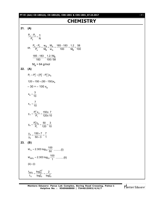### **CHEMISTRY**

**21. (A)**

$$
\frac{P_o - P_s}{P_s} = \frac{n}{N}
$$
\nor, 
$$
\frac{P_o - P_s}{P_s} = \frac{w_B}{M_B} \times \frac{M_A}{w_A} = \frac{185 - 183}{183} = \frac{1.2}{M_B} \times \frac{58}{100}
$$
\n
$$
\frac{185 - 183}{183} = \frac{1.2}{100/58}
$$
\n
$$
M_B = 64 \text{ g/mol}
$$
\n22. (A)\n
$$
P_T = P_A^o + (P_B^o - P_A^o) x_B
$$
\n
$$
120 = 150 + (50 - 150) x_B
$$
\n
$$
-30 = -100 x_B
$$
\n
$$
x_B = \frac{3}{10}
$$
\n
$$
x_A = \frac{7}{10}
$$
\n
$$
y_A = \frac{P_A^o x_A}{P_T} = \frac{150x}{120x} \frac{7}{10}
$$
\n
$$
y_B = \frac{P_B^o x_B}{P_T} = \frac{50}{120} \times \frac{3}{10}
$$
\n
$$
\frac{y_A}{y_B} = \frac{150 \times 7}{50 \times 3} = \frac{7}{1}
$$
\n23. (B)\n
$$
kt_{y_A} = 2.303 \log_{10} \frac{100}{50} \dots \dots
$$
\n(i)\n
$$
kt_{99\%} = 2.303 \log_{10} \frac{100}{1} \dots \dots
$$
\n(ii)\n(ii) ÷ (i) ÷ (i) ÷ (j) 
$$
\frac{t_{99\%}}{t_{y_a}} = \frac{\log_{10}^{10^2}}{\log_{10}^{2}} = \frac{2}{\log_{10}^{2}}
$$

Mentors<sup>e</sup> Eduserv<sup>-</sup>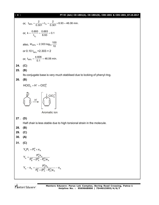or, 
$$
t_{99\%} = \frac{2}{0.301} \times t_{\frac{1}{2}} = \frac{2}{0.301} \times 6.93 = 46.06 \text{ min.}
$$
  
\nor,  $k = \frac{0.693}{t_{y_2}} = \frac{0.693}{6.93} = 0.1$   
\nalso,  $kt_{99\%} = 2.303 \log_{10} \frac{100}{10}$   
\nor 0.10  $t_{99\%} = 2.303 \times 2$   
\nor,  $t_{99\%} = \frac{4.606}{0.1} = 46.06 \text{ min.}$   
\n(C)  
\n(B)

Its conjugate base is very much stablised due to locking of phenyl ring.

[ **8** ] **PT-VI (Adv) CD-1801(A), CD-1801(B), CDK-1801 & CDS-1801\_07.10.2017**

#### **26. (B)**

**24. (C) 25. (B)**

$$
HClO_4 = H^+ + ClO_4^{\Theta}
$$

 $H^*$ 

 $+$   $+$ 

Aromatic ion

 $\text{CO}_4^-$ 

**27 . (D)**

Half chair is less stable due to high torsional strain in the molecule.

**28. (B)**

- **29. (C)**
- **30. (A)**
- **31. (C)**

$$
Y_A P_T = P_A^0 \times x_A
$$

$$
Y_{A} = \frac{P_{A}^{0}x_{A}}{P_{B}^{0} + (P_{A}^{0} - P_{B}^{0})x_{A}}
$$

$$
Y_{A} - x_{A} = \frac{P_{A}^{0}x_{A}}{P_{B}^{0} + (P_{A}^{0} - P_{B}^{0})x_{A}} - x_{A}
$$

Mentors<sup>®</sup> Eduserv<sup>®</sup>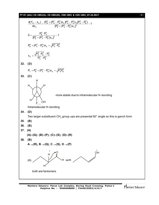#### **PT-VI (Adv) CD-1801(A), CD-1801(B), CDK-1801 & CDS-1801\_07.10.2017** [ **9** ]

$$
\frac{d(Y_A - x_A)}{dx_A} = \frac{(P_B^0 + (P_A^0 - P_B^0)x_A P_A^0 - P_A^0x_A (P_A^0 - P_B^0)x_B^0)}{[P_B^0 + (P_A^0 - P_B^0)x_A]^2} - 1
$$
\n
$$
0 = \frac{P_B^0 + P_A^0 - P_B^0)x_A}{[P_B^0 + (P_A^0 - P_B^0)x_A - \sqrt{P_A^0 P_B^0}}
$$
\n
$$
x_A = \frac{\sqrt{P_A^0 \cdot P_B^0} - P_B^0}{P_A^0 - P_B^0}
$$
\n32. (D)  
\n
$$
P_T = P_B^0 + (P_A^0 - P_B^0)x_A = \sqrt{P_A^0 P_B^0}
$$
\n33. (C)  
\n
$$
H
$$
\n
$$
H
$$
\n
$$
H
$$
\n
$$
H
$$
\n
$$
H
$$
\n
$$
H
$$
\n
$$
H
$$
\n
$$
H
$$
\n
$$
H
$$
\n
$$
H
$$
\n
$$
H
$$
\n
$$
H
$$
\n
$$
H
$$
\n
$$
H
$$
\n
$$
H
$$
\n
$$
H
$$
\n
$$
H
$$
\n
$$
H
$$
\n
$$
H
$$
\n
$$
H
$$
\n
$$
H
$$
\n
$$
H
$$
\n
$$
H
$$
\n
$$
H
$$
\n
$$
H
$$
\n
$$
H
$$
\n
$$
H
$$
\n
$$
H
$$
\n
$$
H
$$
\n
$$
H
$$
\n
$$
H
$$
\n
$$
H
$$
\n
$$
H
$$
\n
$$
H
$$
\n
$$
H
$$
\n
$$
H
$$
\n
$$
H
$$
\n
$$
H
$$
\n
$$
H
$$
\n
$$
H
$$
\n
$$
H
$$
\n
$$
H
$$
\n
$$
H
$$
\n
$$
H
$$
\n
$$
H
$$
\n
$$
H
$$

Mentors<sup>e</sup> Eduserv<sup>-</sup>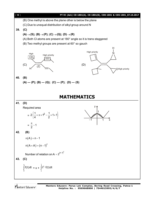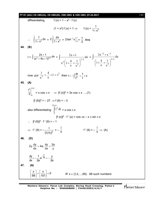#### **PT-VI (Adv) CD-1801(A), CD-1801(B), CDK-1801 & CDS-1801\_07.10.2017** [ **11** ]

differentiating,  $f(x) = 1 - x^2 \cdot f(x)$  $(1 + x^2)$  f  $(x) = 1 \implies$  f  $(x) = \frac{1}{1 + x^2}$  $1 + x^2$  $\mathcal{L}_{\bullet}$ 1 2 1  $\frac{1}{2}$ dx  $\int_{-1}^{1} \frac{1}{1 + x^2} dx =$ 1 2 0  $2\int \frac{dx}{1+x}$  $\int_{0}^{\frac{ax}{1+x^2}} = 2\tan^{-1}x\Big]_{0}^{1}$  $2\tan^{-1}x\Big]_0^1 = \frac{\pi}{2}$  $\frac{\pi}{2}$  Ans **44. (B)**  $I = \int \frac{2x+1}{(x^2+4x+1)^{3/2}} dx$  $(x^2 + 4x + 1)$  $\int \frac{2x+1}{(x^2+4x+1)^{3/2}} dx = \int$  $\overline{\phantom{a}}$  $\bigg)$  $\left(1+\frac{4}{2}+\frac{1}{2}\right)$  $\setminus$  $\left(1+\frac{4}{1}+\right)$  $\frac{+1}{-}$  dx x 1 x  $x^3(1+\frac{4}{x})$  $2x + 1$  $3/2$ 2 3  $=$   $\int$  $\overline{\phantom{a}}$ J  $\left(1+\frac{4}{1}+\frac{1}{2}\right)$  $\setminus$  $\left(1+\frac{4}{1}\right)$  $^{-2} + x^{-}$ dx x 1 x  $1 + \frac{4}{5}$  $2x^{-2} + x$  $3/2$ 2  $2^{+2}$ now put  $\frac{1}{x^2} + \frac{4}{x} + 1 = t^2$ x 4 x  $\frac{1}{x^2} + \frac{4}{x} + 1 = t^2$  then  $I = -\int \frac{dt}{t^2} = \frac{1}{t} + c$  $= -\int \frac{dt}{t^2} = \frac{1}{t} + c$ **45. (A)**  $3 \mid f(x)$ 0 t  $\overline{3}\Big|_0$  = x cos  $\pi x$   $\Rightarrow$  [f (x)]<sup>3</sup> = 3x cos  $\pi x$  ....(1)  $[f (9)]^3 = -27 \Rightarrow f (9) = -3$ also differentiating  $\int$  $f(x)$  $\boldsymbol{0}$  $t^2 dt = x \cos \pi x$  $[f(x)]^2 \cdot f'(x) = \cos \pi x - x \pi \sin \pi x$  $\therefore$  [f (9)]<sup>2</sup> · f ' (9) = -1  $\Rightarrow f'(9) = -\frac{1}{(f(9))^2}$ 1  $=-\frac{1}{9}$ 1 f ' (9) =  $-\frac{1}{9}$ 1  $\Rightarrow$  (A) **46. (D)** 2y.  $\frac{dy}{dx} = 4a$ ;  $\frac{dy}{dx} = \frac{2a}{x}$ dx dx y  $=4a; \frac{dy}{dx} =$  $\frac{dy}{dx} = -\frac{1}{2}e^{-\frac{x}{2a}} = -\frac{y}{2}$ dx 2a 2a  $=-\frac{1}{2}e^{-\frac{x}{2a}}=-\frac{1}{2}$ **47. (A)**  $\left|\frac{x}{x-1}\right| = \left|\frac{x}{124}\right| = 0$ 99][101 iff  $x \in \{1, 2, ..., 98\}$ . 98 such numbers

Mentors<sup>®</sup> Eduserv<sup>®</sup>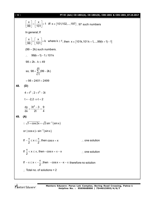#### [ **12** ] **PT-VI (Adv) CD-1801(A), CD-1801(B), CDK-1801 & CDS-1801\_07.10.2017**

 $\left|\frac{x}{100}\right| = \left|\frac{x}{404}\right| = 1$  iff  $x \in \{101,102,...,197\}$ 99 | 101  $\begin{bmatrix} \mathbf{x} \\ 99 \end{bmatrix} = \begin{bmatrix} \mathbf{x} \\ 101 \end{bmatrix} = 1$  iff  $\mathbf{x} \in \{101, 102, ..., 197\}$ . 97 such numbers In general; If  $\left|\frac{x}{x} \right| = \left|\frac{x}{404}\right| = k$  where  $k \ge 1$  $\left[\frac{x}{99}\right] = \left[\frac{x}{101}\right] = k$  where  $k \ge 1$ , then  $x \in \{101k, 101k + 1, \ldots, 99(k + 1) - 1\}$ (99 – 2k) such numbers.  $\therefore$  99(k + 1) – 1 ≥ 101 k  $98 \geq 2k$ ,  $k \leq 49$ 49  $k = 1$ so,  $98 + \sum (99 - 2k)$  $+\sum_{k=1}$ (99 – 2  $= 98 + 2401 = 2499$ **48. (D)**  $4 = t^2$ ;  $2 = t^3 - 3t$  $t = -2, 2 \implies t = 2$ dy  $3t^2 - 3$  9 dx 2t 4  $=\frac{3t^2-3}{2t}=\frac{9}{5}$ **49. (A)**  $\therefore \sqrt{1 + \cos 2x} = \sqrt{2} \sin^{-1}(\sin x)$ or  $|\cos x| = \sin^{-1}(\sin x)$ If  $-\frac{\pi}{2} \le x \le \frac{\pi}{2}$ , then  $-\frac{\pi}{2} \le x \le \frac{\pi}{2}$ , then  $\cos x = x$  : one solution If  $\frac{\pi}{6} < x \leq \pi$ , then  $-\cos x = \pi - x$ 2  $\frac{\pi}{2}$  < x  $\leq$   $\pi$ , then – cos x =  $\pi$  – x  $\therefore$  one solution If  $-\pi \leq x < -\frac{\pi}{2}$ , then  $-\cos x = -x$ 2  $-\pi \leq x < -\frac{\pi}{2}$ , then  $-\cos x = -x - \pi$  therefore no solution  $\therefore$  Total no. of solutions = 2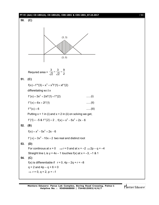## **PT-VI (Adv) CD-1801(A), CD-1801(B), CDK-1801 & CDS-1801\_07.10.2017** [ **13** ] **50. (C)** (3, 3) (3, 0) Requred area = 3 3 9 2  $\sqrt{2}$  2  $x - \frac{b}{\sqrt{a}} = \frac{1}{b}$ **51. (C)**  $f(x) + f'''(3) = x^3 + x^2f'(1) + xf'''(2)$ differetiating w.r.t x  $f'(x) = 3x^2 + 2xf'(1) + f''(2)$  .......(i)  $f''(x) = 6x + 2f'(1)$  ......(ii)  $f'''(x) = 6$  ......(iii) Putting  $x = 1$  in (i) and  $x = 2$  in (ii) on solving we get,  $f'(1) = -5$  &  $f''(2) = 2$ ,  $f(x) = x^3 - 5x^2 + 2x - 6$ **52. (B)**  $f(x) = x^3 - 5x^2 + 2x - 6$ f ' $(x)$  = 3x<sup>2</sup> – 10x + 2 two real and distinct root **53. (D)** For continous at  $x = 0$   $\Rightarrow$  r = 0 and at  $x = -2$   $\Rightarrow$  2p – q = -4 Straight line L is  $y = 4x - 1$  touches  $f(x)$  at  $x = -3, -1$  & 1 **54. (C)** f(x) is differentiable if  $r = 0$ ,  $4p - 2q + r = -8$  $q = 2$  and  $4p - q + 6 = 0$  $\Rightarrow$  r = 0, q = 2, p = -1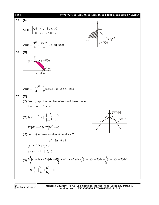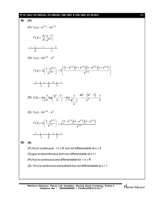#### **PT-VI (Adv) CD-1801(A), CD-1801(B), CDK-1801 & CDS-1801\_07.10.2017** [ **15** ]